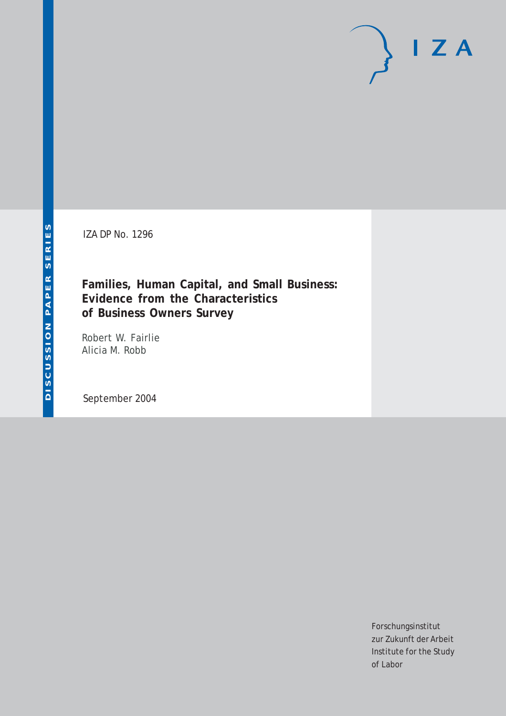IZA DP No. 1296

**Families, Human Capital, and Small Business: Evidence from the Characteristics of Business Owners Survey**

Robert W. Fairlie Alicia M. Robb

September 2004

Forschungsinstitut zur Zukunft der Arbeit Institute for the Study of Labor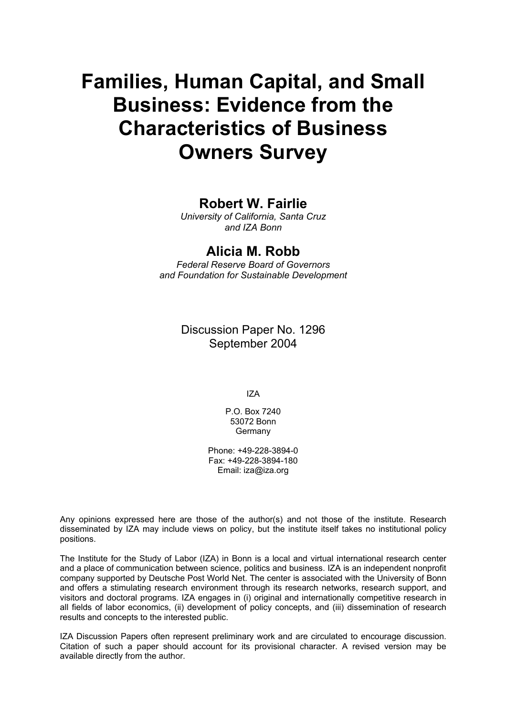# **Families, Human Capital, and Small Business: Evidence from the Characteristics of Business Owners Survey**

# **Robert W. Fairlie**

*University of California, Santa Cruz and IZA Bonn* 

## **Alicia M. Robb**

*Federal Reserve Board of Governors and Foundation for Sustainable Development* 

> Discussion Paper No. 1296 September 2004

> > IZA

P.O. Box 7240 53072 Bonn Germany

Phone: +49-228-3894-0 Fax: +49-228-3894-180 Email: [iza@iza.org](mailto:iza@iza.org)

Any opinions expressed here are those of the author(s) and not those of the institute. Research disseminated by IZA may include views on policy, but the institute itself takes no institutional policy positions.

The Institute for the Study of Labor (IZA) in Bonn is a local and virtual international research center and a place of communication between science, politics and business. IZA is an independent nonprofit company supported by Deutsche Post World Net. The center is associated with the University of Bonn and offers a stimulating research environment through its research networks, research support, and visitors and doctoral programs. IZA engages in (i) original and internationally competitive research in all fields of labor economics, (ii) development of policy concepts, and (iii) dissemination of research results and concepts to the interested public.

IZA Discussion Papers often represent preliminary work and are circulated to encourage discussion. Citation of such a paper should account for its provisional character. A revised version may be available directly from the author.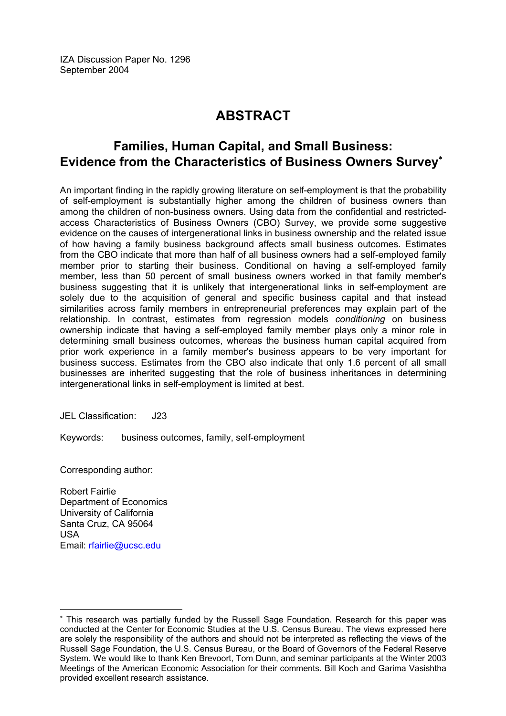IZA Discussion Paper No. 1296 September 2004

# **ABSTRACT**

# **Families, Human Capital, and Small Business: Evidence from the Characteristics of Business Owners Survey**[∗](#page-2-0)

An important finding in the rapidly growing literature on self-employment is that the probability of self-employment is substantially higher among the children of business owners than among the children of non-business owners. Using data from the confidential and restrictedaccess Characteristics of Business Owners (CBO) Survey, we provide some suggestive evidence on the causes of intergenerational links in business ownership and the related issue of how having a family business background affects small business outcomes. Estimates from the CBO indicate that more than half of all business owners had a self-employed family member prior to starting their business. Conditional on having a self-employed family member, less than 50 percent of small business owners worked in that family member's business suggesting that it is unlikely that intergenerational links in self-employment are solely due to the acquisition of general and specific business capital and that instead similarities across family members in entrepreneurial preferences may explain part of the relationship. In contrast, estimates from regression models *conditioning* on business ownership indicate that having a self-employed family member plays only a minor role in determining small business outcomes, whereas the business human capital acquired from prior work experience in a family member's business appears to be very important for business success. Estimates from the CBO also indicate that only 1.6 percent of all small businesses are inherited suggesting that the role of business inheritances in determining intergenerational links in self-employment is limited at best.

JEL Classification: J23

Keywords: business outcomes, family, self-employment

Corresponding author:

Robert Fairlie Department of Economics University of California Santa Cruz, CA 95064 USA Email: [rfairlie@ucsc.edu](mailto:rfairlie@ucsc.edu)

<span id="page-2-0"></span><sup>∗</sup> This research was partially funded by the Russell Sage Foundation. Research for this paper was conducted at the Center for Economic Studies at the U.S. Census Bureau. The views expressed here are solely the responsibility of the authors and should not be interpreted as reflecting the views of the Russell Sage Foundation, the U.S. Census Bureau, or the Board of Governors of the Federal Reserve System. We would like to thank Ken Brevoort, Tom Dunn, and seminar participants at the Winter 2003 Meetings of the American Economic Association for their comments. Bill Koch and Garima Vasishtha provided excellent research assistance.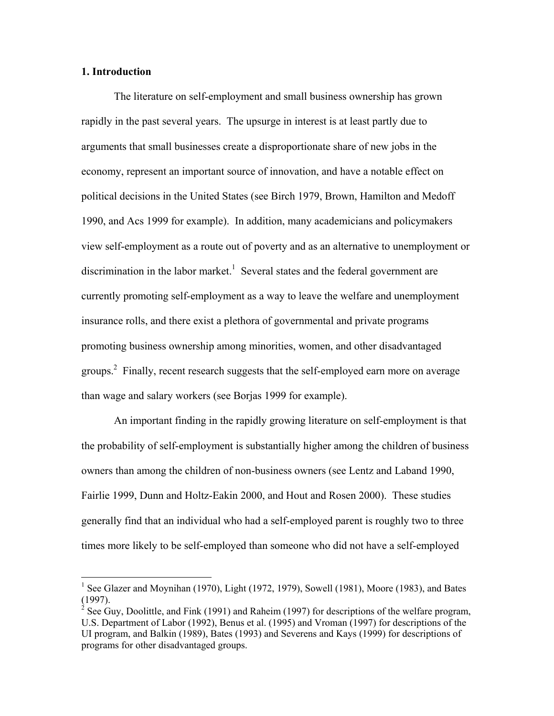#### **1. Introduction**

 $\overline{a}$ 

 The literature on self-employment and small business ownership has grown rapidly in the past several years. The upsurge in interest is at least partly due to arguments that small businesses create a disproportionate share of new jobs in the economy, represent an important source of innovation, and have a notable effect on political decisions in the United States (see Birch 1979, Brown, Hamilton and Medoff 1990, and Acs 1999 for example). In addition, many academicians and policymakers view self-employment as a route out of poverty and as an alternative to unemployment or discrimination in the labor market.<sup>1</sup> Several states and the federal government are currently promoting self-employment as a way to leave the welfare and unemployment insurance rolls, and there exist a plethora of governmental and private programs promoting business ownership among minorities, women, and other disadvantaged groups.<sup>2</sup> Finally, recent research suggests that the self-employed earn more on average than wage and salary workers (see Borjas 1999 for example).

 An important finding in the rapidly growing literature on self-employment is that the probability of self-employment is substantially higher among the children of business owners than among the children of non-business owners (see Lentz and Laband 1990, Fairlie 1999, Dunn and Holtz-Eakin 2000, and Hout and Rosen 2000). These studies generally find that an individual who had a self-employed parent is roughly two to three times more likely to be self-employed than someone who did not have a self-employed

<sup>&</sup>lt;sup>1</sup> See Glazer and Moynihan (1970), Light (1972, 1979), Sowell (1981), Moore (1983), and Bates (1997).

<sup>&</sup>lt;sup>2</sup> See Guy, Doolittle, and Fink (1991) and Raheim (1997) for descriptions of the welfare program, U.S. Department of Labor (1992), Benus et al. (1995) and Vroman (1997) for descriptions of the UI program, and Balkin (1989), Bates (1993) and Severens and Kays (1999) for descriptions of programs for other disadvantaged groups.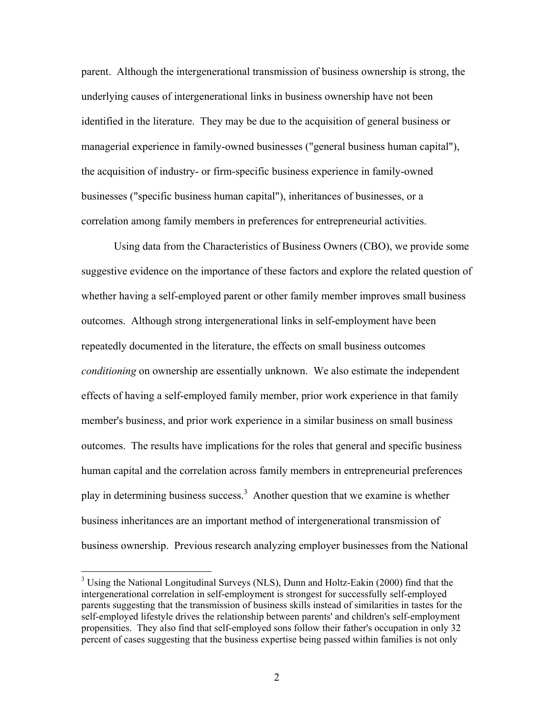parent. Although the intergenerational transmission of business ownership is strong, the underlying causes of intergenerational links in business ownership have not been identified in the literature. They may be due to the acquisition of general business or managerial experience in family-owned businesses ("general business human capital"), the acquisition of industry- or firm-specific business experience in family-owned businesses ("specific business human capital"), inheritances of businesses, or a correlation among family members in preferences for entrepreneurial activities.

 Using data from the Characteristics of Business Owners (CBO), we provide some suggestive evidence on the importance of these factors and explore the related question of whether having a self-employed parent or other family member improves small business outcomes. Although strong intergenerational links in self-employment have been repeatedly documented in the literature, the effects on small business outcomes *conditioning* on ownership are essentially unknown. We also estimate the independent effects of having a self-employed family member, prior work experience in that family member's business, and prior work experience in a similar business on small business outcomes. The results have implications for the roles that general and specific business human capital and the correlation across family members in entrepreneurial preferences play in determining business success.<sup>3</sup> Another question that we examine is whether business inheritances are an important method of intergenerational transmission of business ownership. Previous research analyzing employer businesses from the National

<sup>&</sup>lt;sup>3</sup> Using the National Longitudinal Surveys (NLS), Dunn and Holtz-Eakin (2000) find that the intergenerational correlation in self-employment is strongest for successfully self-employed parents suggesting that the transmission of business skills instead of similarities in tastes for the self-employed lifestyle drives the relationship between parents' and children's self-employment propensities. They also find that self-employed sons follow their father's occupation in only 32 percent of cases suggesting that the business expertise being passed within families is not only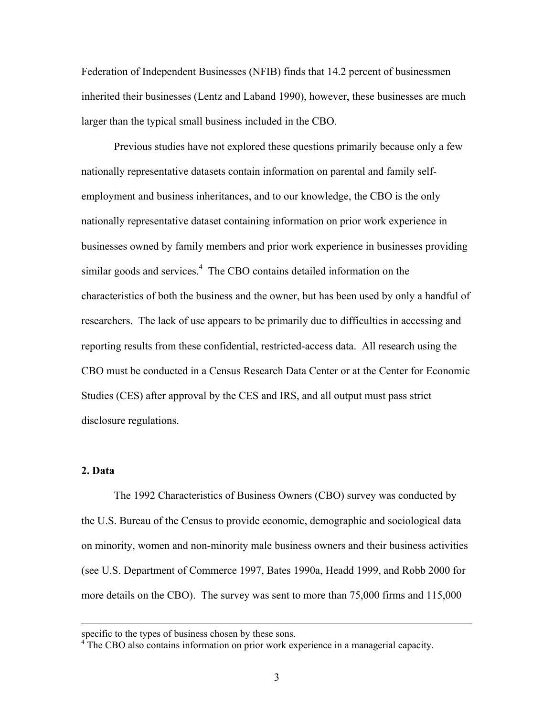Federation of Independent Businesses (NFIB) finds that 14.2 percent of businessmen inherited their businesses (Lentz and Laband 1990), however, these businesses are much larger than the typical small business included in the CBO.

 Previous studies have not explored these questions primarily because only a few nationally representative datasets contain information on parental and family selfemployment and business inheritances, and to our knowledge, the CBO is the only nationally representative dataset containing information on prior work experience in businesses owned by family members and prior work experience in businesses providing similar goods and services.<sup>4</sup> The CBO contains detailed information on the characteristics of both the business and the owner, but has been used by only a handful of researchers. The lack of use appears to be primarily due to difficulties in accessing and reporting results from these confidential, restricted-access data. All research using the CBO must be conducted in a Census Research Data Center or at the Center for Economic Studies (CES) after approval by the CES and IRS, and all output must pass strict disclosure regulations.

#### **2. Data**

 $\overline{a}$ 

The 1992 Characteristics of Business Owners (CBO) survey was conducted by the U.S. Bureau of the Census to provide economic, demographic and sociological data on minority, women and non-minority male business owners and their business activities (see U.S. Department of Commerce 1997, Bates 1990a, Headd 1999, and Robb 2000 for more details on the CBO). The survey was sent to more than 75,000 firms and 115,000

specific to the types of business chosen by these sons.<br><sup>4</sup> The CBO also contains information on prior work experience in a managerial capacity.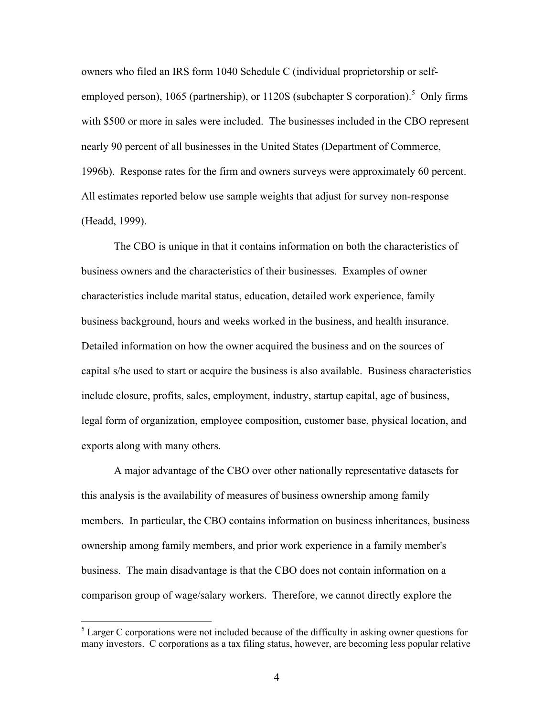owners who filed an IRS form 1040 Schedule C (individual proprietorship or selfemployed person), 1065 (partnership), or  $1120S$  (subchapter S corporation).<sup>5</sup> Only firms with \$500 or more in sales were included. The businesses included in the CBO represent nearly 90 percent of all businesses in the United States (Department of Commerce, 1996b). Response rates for the firm and owners surveys were approximately 60 percent. All estimates reported below use sample weights that adjust for survey non-response (Headd, 1999).

The CBO is unique in that it contains information on both the characteristics of business owners and the characteristics of their businesses. Examples of owner characteristics include marital status, education, detailed work experience, family business background, hours and weeks worked in the business, and health insurance. Detailed information on how the owner acquired the business and on the sources of capital s/he used to start or acquire the business is also available. Business characteristics include closure, profits, sales, employment, industry, startup capital, age of business, legal form of organization, employee composition, customer base, physical location, and exports along with many others.

 A major advantage of the CBO over other nationally representative datasets for this analysis is the availability of measures of business ownership among family members. In particular, the CBO contains information on business inheritances, business ownership among family members, and prior work experience in a family member's business. The main disadvantage is that the CBO does not contain information on a comparison group of wage/salary workers. Therefore, we cannot directly explore the

 $<sup>5</sup>$  Larger C corporations were not included because of the difficulty in asking owner questions for</sup> many investors. C corporations as a tax filing status, however, are becoming less popular relative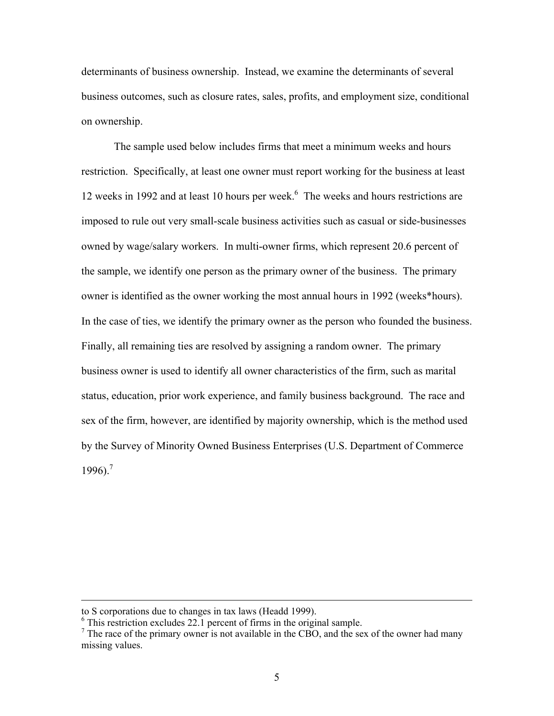determinants of business ownership. Instead, we examine the determinants of several business outcomes, such as closure rates, sales, profits, and employment size, conditional on ownership.

 The sample used below includes firms that meet a minimum weeks and hours restriction. Specifically, at least one owner must report working for the business at least 12 weeks in 1992 and at least 10 hours per week.<sup>6</sup> The weeks and hours restrictions are imposed to rule out very small-scale business activities such as casual or side-businesses owned by wage/salary workers. In multi-owner firms, which represent 20.6 percent of the sample, we identify one person as the primary owner of the business. The primary owner is identified as the owner working the most annual hours in 1992 (weeks\*hours). In the case of ties, we identify the primary owner as the person who founded the business. Finally, all remaining ties are resolved by assigning a random owner. The primary business owner is used to identify all owner characteristics of the firm, such as marital status, education, prior work experience, and family business background. The race and sex of the firm, however, are identified by majority ownership, which is the method used by the Survey of Minority Owned Business Enterprises (U.S. Department of Commerce  $1996$ )<sup>7</sup>

to S corporations due to changes in tax laws (Headd 1999).

<sup>&</sup>lt;sup>6</sup> This restriction excludes 22.1 percent of firms in the original sample.

 $<sup>7</sup>$  The race of the primary owner is not available in the CBO, and the sex of the owner had many</sup> missing values.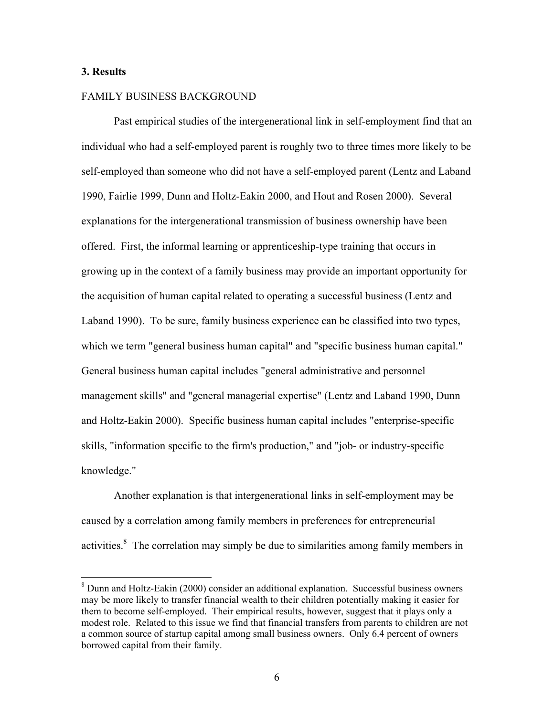#### **3. Results**

 $\overline{a}$ 

#### FAMILY BUSINESS BACKGROUND

 Past empirical studies of the intergenerational link in self-employment find that an individual who had a self-employed parent is roughly two to three times more likely to be self-employed than someone who did not have a self-employed parent (Lentz and Laband 1990, Fairlie 1999, Dunn and Holtz-Eakin 2000, and Hout and Rosen 2000). Several explanations for the intergenerational transmission of business ownership have been offered. First, the informal learning or apprenticeship-type training that occurs in growing up in the context of a family business may provide an important opportunity for the acquisition of human capital related to operating a successful business (Lentz and Laband 1990). To be sure, family business experience can be classified into two types, which we term "general business human capital" and "specific business human capital." General business human capital includes "general administrative and personnel management skills" and "general managerial expertise" (Lentz and Laband 1990, Dunn and Holtz-Eakin 2000). Specific business human capital includes "enterprise-specific skills, "information specific to the firm's production," and "job- or industry-specific knowledge."

 Another explanation is that intergenerational links in self-employment may be caused by a correlation among family members in preferences for entrepreneurial activities. $\delta$  The correlation may simply be due to similarities among family members in

<sup>&</sup>lt;sup>8</sup> Dunn and Holtz-Eakin (2000) consider an additional explanation. Successful business owners may be more likely to transfer financial wealth to their children potentially making it easier for them to become self-employed. Their empirical results, however, suggest that it plays only a modest role. Related to this issue we find that financial transfers from parents to children are not a common source of startup capital among small business owners. Only 6.4 percent of owners borrowed capital from their family.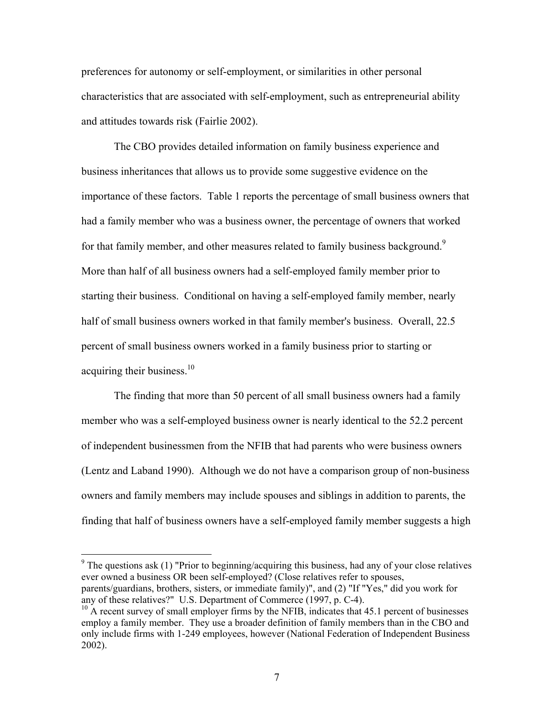preferences for autonomy or self-employment, or similarities in other personal characteristics that are associated with self-employment, such as entrepreneurial ability and attitudes towards risk (Fairlie 2002).

 The CBO provides detailed information on family business experience and business inheritances that allows us to provide some suggestive evidence on the importance of these factors. Table 1 reports the percentage of small business owners that had a family member who was a business owner, the percentage of owners that worked for that family member, and other measures related to family business background.<sup>9</sup> More than half of all business owners had a self-employed family member prior to starting their business. Conditional on having a self-employed family member, nearly half of small business owners worked in that family member's business. Overall, 22.5 percent of small business owners worked in a family business prior to starting or acquiring their business.<sup>10</sup>

 The finding that more than 50 percent of all small business owners had a family member who was a self-employed business owner is nearly identical to the 52.2 percent of independent businessmen from the NFIB that had parents who were business owners (Lentz and Laband 1990). Although we do not have a comparison group of non-business owners and family members may include spouses and siblings in addition to parents, the finding that half of business owners have a self-employed family member suggests a high

The questions ask (1) "Prior to beginning/acquiring this business, had any of your close relatives ever owned a business OR been self-employed? (Close relatives refer to spouses, parents/guardians, brothers, sisters, or immediate family)", and (2) "If "Yes," did you work for any of these relatives?" U.S. Department of Commerce (1997, p. C-4).

 $10$  A recent survey of small employer firms by the NFIB, indicates that 45.1 percent of businesses employ a family member. They use a broader definition of family members than in the CBO and only include firms with 1-249 employees, however (National Federation of Independent Business 2002).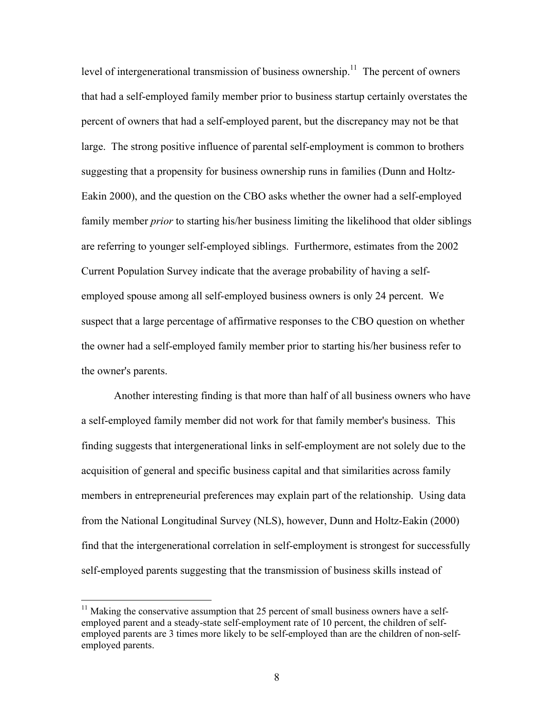level of intergenerational transmission of business ownership.<sup>11</sup> The percent of owners that had a self-employed family member prior to business startup certainly overstates the percent of owners that had a self-employed parent, but the discrepancy may not be that large. The strong positive influence of parental self-employment is common to brothers suggesting that a propensity for business ownership runs in families (Dunn and Holtz-Eakin 2000), and the question on the CBO asks whether the owner had a self-employed family member *prior* to starting his/her business limiting the likelihood that older siblings are referring to younger self-employed siblings. Furthermore, estimates from the 2002 Current Population Survey indicate that the average probability of having a selfemployed spouse among all self-employed business owners is only 24 percent. We suspect that a large percentage of affirmative responses to the CBO question on whether the owner had a self-employed family member prior to starting his/her business refer to the owner's parents.

 Another interesting finding is that more than half of all business owners who have a self-employed family member did not work for that family member's business. This finding suggests that intergenerational links in self-employment are not solely due to the acquisition of general and specific business capital and that similarities across family members in entrepreneurial preferences may explain part of the relationship. Using data from the National Longitudinal Survey (NLS), however, Dunn and Holtz-Eakin (2000) find that the intergenerational correlation in self-employment is strongest for successfully self-employed parents suggesting that the transmission of business skills instead of

 $11$  Making the conservative assumption that 25 percent of small business owners have a selfemployed parent and a steady-state self-employment rate of 10 percent, the children of selfemployed parents are 3 times more likely to be self-employed than are the children of non-selfemployed parents.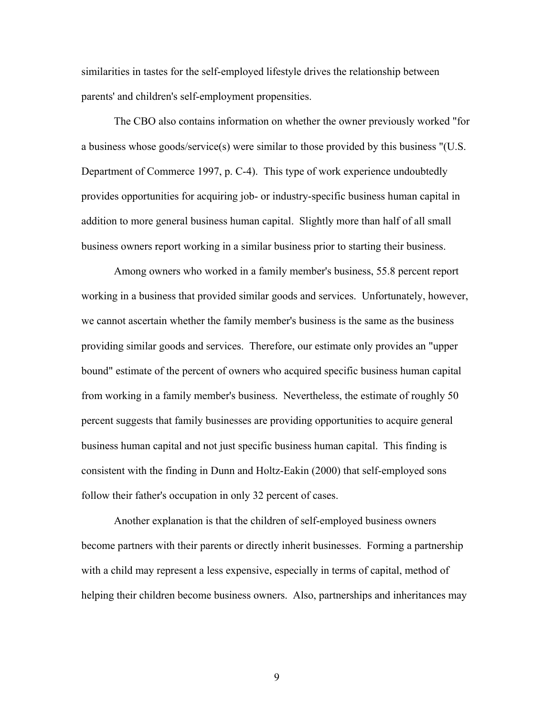similarities in tastes for the self-employed lifestyle drives the relationship between parents' and children's self-employment propensities.

 The CBO also contains information on whether the owner previously worked "for a business whose goods/service(s) were similar to those provided by this business "(U.S. Department of Commerce 1997, p. C-4). This type of work experience undoubtedly provides opportunities for acquiring job- or industry-specific business human capital in addition to more general business human capital. Slightly more than half of all small business owners report working in a similar business prior to starting their business.

 Among owners who worked in a family member's business, 55.8 percent report working in a business that provided similar goods and services. Unfortunately, however, we cannot ascertain whether the family member's business is the same as the business providing similar goods and services. Therefore, our estimate only provides an "upper bound" estimate of the percent of owners who acquired specific business human capital from working in a family member's business. Nevertheless, the estimate of roughly 50 percent suggests that family businesses are providing opportunities to acquire general business human capital and not just specific business human capital. This finding is consistent with the finding in Dunn and Holtz-Eakin (2000) that self-employed sons follow their father's occupation in only 32 percent of cases.

 Another explanation is that the children of self-employed business owners become partners with their parents or directly inherit businesses. Forming a partnership with a child may represent a less expensive, especially in terms of capital, method of helping their children become business owners. Also, partnerships and inheritances may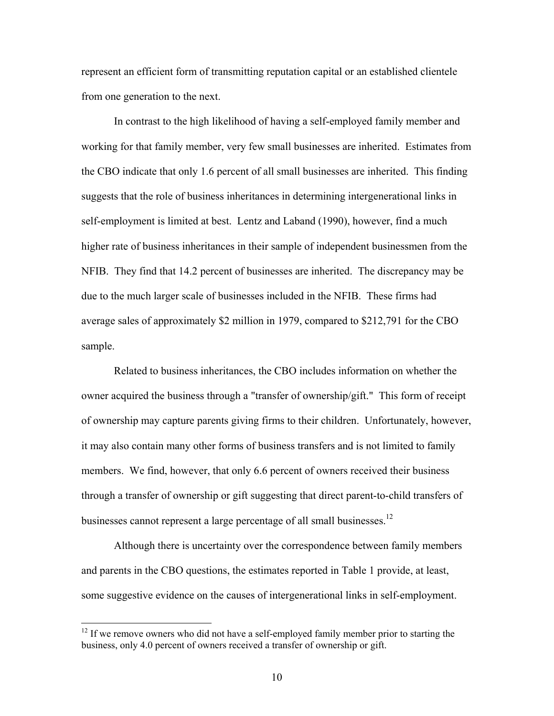represent an efficient form of transmitting reputation capital or an established clientele from one generation to the next.

 In contrast to the high likelihood of having a self-employed family member and working for that family member, very few small businesses are inherited. Estimates from the CBO indicate that only 1.6 percent of all small businesses are inherited. This finding suggests that the role of business inheritances in determining intergenerational links in self-employment is limited at best. Lentz and Laband (1990), however, find a much higher rate of business inheritances in their sample of independent businessmen from the NFIB. They find that 14.2 percent of businesses are inherited. The discrepancy may be due to the much larger scale of businesses included in the NFIB. These firms had average sales of approximately \$2 million in 1979, compared to \$212,791 for the CBO sample.

 Related to business inheritances, the CBO includes information on whether the owner acquired the business through a "transfer of ownership/gift." This form of receipt of ownership may capture parents giving firms to their children. Unfortunately, however, it may also contain many other forms of business transfers and is not limited to family members. We find, however, that only 6.6 percent of owners received their business through a transfer of ownership or gift suggesting that direct parent-to-child transfers of businesses cannot represent a large percentage of all small businesses.<sup>12</sup>

 Although there is uncertainty over the correspondence between family members and parents in the CBO questions, the estimates reported in Table 1 provide, at least, some suggestive evidence on the causes of intergenerational links in self-employment.

 $12$  If we remove owners who did not have a self-employed family member prior to starting the business, only 4.0 percent of owners received a transfer of ownership or gift.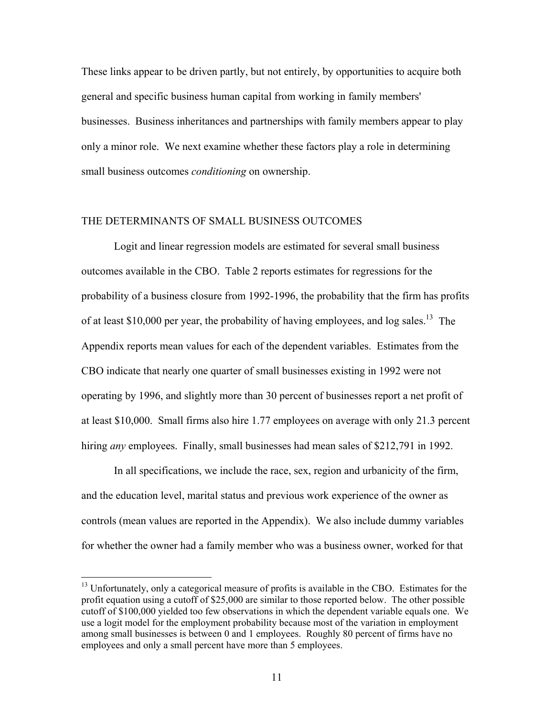These links appear to be driven partly, but not entirely, by opportunities to acquire both general and specific business human capital from working in family members' businesses. Business inheritances and partnerships with family members appear to play only a minor role. We next examine whether these factors play a role in determining small business outcomes *conditioning* on ownership.

### THE DETERMINANTS OF SMALL BUSINESS OUTCOMES

 Logit and linear regression models are estimated for several small business outcomes available in the CBO. Table 2 reports estimates for regressions for the probability of a business closure from 1992-1996, the probability that the firm has profits of at least \$10,000 per year, the probability of having employees, and log sales.<sup>13</sup> The Appendix reports mean values for each of the dependent variables. Estimates from the CBO indicate that nearly one quarter of small businesses existing in 1992 were not operating by 1996, and slightly more than 30 percent of businesses report a net profit of at least \$10,000. Small firms also hire 1.77 employees on average with only 21.3 percent hiring *any* employees. Finally, small businesses had mean sales of \$212,791 in 1992.

 In all specifications, we include the race, sex, region and urbanicity of the firm, and the education level, marital status and previous work experience of the owner as controls (mean values are reported in the Appendix). We also include dummy variables for whether the owner had a family member who was a business owner, worked for that

<sup>&</sup>lt;sup>13</sup> Unfortunately, only a categorical measure of profits is available in the CBO. Estimates for the profit equation using a cutoff of \$25,000 are similar to those reported below. The other possible cutoff of \$100,000 yielded too few observations in which the dependent variable equals one. We use a logit model for the employment probability because most of the variation in employment among small businesses is between 0 and 1 employees. Roughly 80 percent of firms have no employees and only a small percent have more than 5 employees.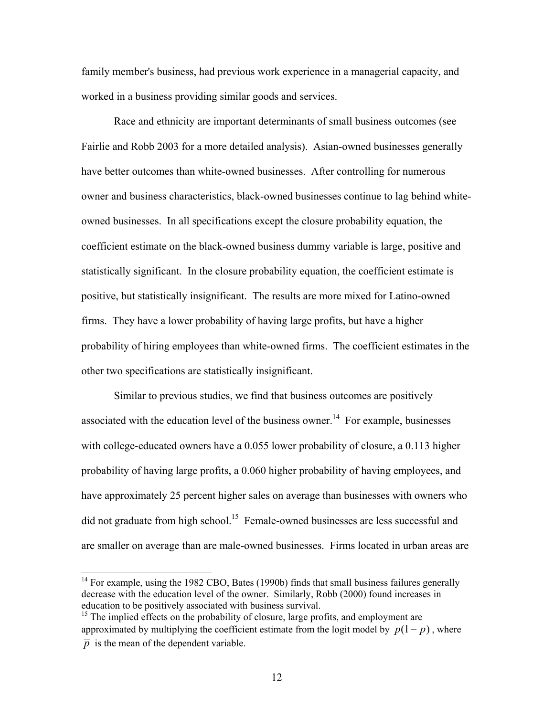family member's business, had previous work experience in a managerial capacity, and worked in a business providing similar goods and services.

 Race and ethnicity are important determinants of small business outcomes (see Fairlie and Robb 2003 for a more detailed analysis). Asian-owned businesses generally have better outcomes than white-owned businesses. After controlling for numerous owner and business characteristics, black-owned businesses continue to lag behind whiteowned businesses. In all specifications except the closure probability equation, the coefficient estimate on the black-owned business dummy variable is large, positive and statistically significant. In the closure probability equation, the coefficient estimate is positive, but statistically insignificant. The results are more mixed for Latino-owned firms. They have a lower probability of having large profits, but have a higher probability of hiring employees than white-owned firms. The coefficient estimates in the other two specifications are statistically insignificant.

 Similar to previous studies, we find that business outcomes are positively associated with the education level of the business owner.<sup>14</sup> For example, businesses with college-educated owners have a 0.055 lower probability of closure, a 0.113 higher probability of having large profits, a 0.060 higher probability of having employees, and have approximately 25 percent higher sales on average than businesses with owners who did not graduate from high school.<sup>15</sup> Female-owned businesses are less successful and are smaller on average than are male-owned businesses. Firms located in urban areas are

 $14$  For example, using the 1982 CBO, Bates (1990b) finds that small business failures generally decrease with the education level of the owner. Similarly, Robb (2000) found increases in education to be positively associated with business survival.

 $15$  The implied effects on the probability of closure, large profits, and employment are approximated by multiplying the coefficient estimate from the logit model by  $\overline{p}(1-\overline{p})$ , where  $\bar{p}$  is the mean of the dependent variable.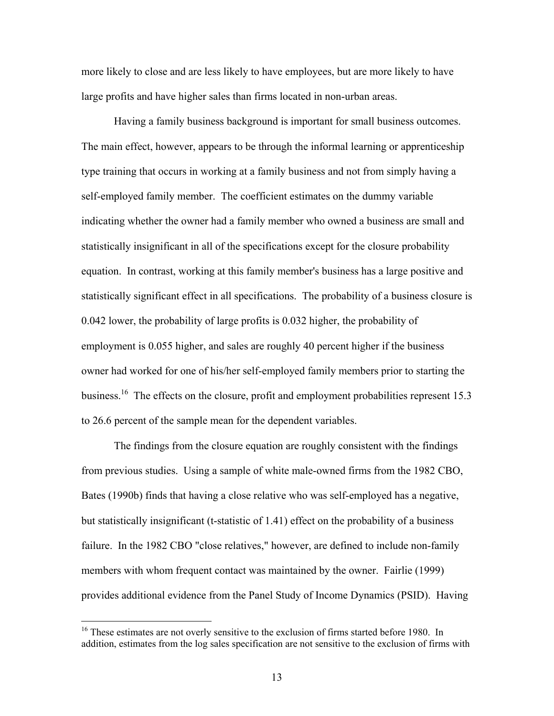more likely to close and are less likely to have employees, but are more likely to have large profits and have higher sales than firms located in non-urban areas.

 Having a family business background is important for small business outcomes. The main effect, however, appears to be through the informal learning or apprenticeship type training that occurs in working at a family business and not from simply having a self-employed family member. The coefficient estimates on the dummy variable indicating whether the owner had a family member who owned a business are small and statistically insignificant in all of the specifications except for the closure probability equation. In contrast, working at this family member's business has a large positive and statistically significant effect in all specifications. The probability of a business closure is 0.042 lower, the probability of large profits is 0.032 higher, the probability of employment is 0.055 higher, and sales are roughly 40 percent higher if the business owner had worked for one of his/her self-employed family members prior to starting the business.<sup>16</sup> The effects on the closure, profit and employment probabilities represent 15.3 to 26.6 percent of the sample mean for the dependent variables.

 The findings from the closure equation are roughly consistent with the findings from previous studies. Using a sample of white male-owned firms from the 1982 CBO, Bates (1990b) finds that having a close relative who was self-employed has a negative, but statistically insignificant (t-statistic of 1.41) effect on the probability of a business failure. In the 1982 CBO "close relatives," however, are defined to include non-family members with whom frequent contact was maintained by the owner. Fairlie (1999) provides additional evidence from the Panel Study of Income Dynamics (PSID). Having

 $16$  These estimates are not overly sensitive to the exclusion of firms started before 1980. In addition, estimates from the log sales specification are not sensitive to the exclusion of firms with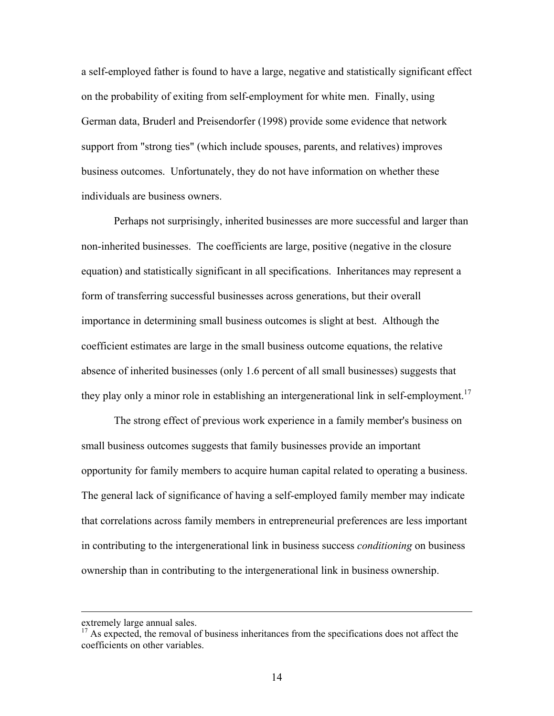a self-employed father is found to have a large, negative and statistically significant effect on the probability of exiting from self-employment for white men. Finally, using German data, Bruderl and Preisendorfer (1998) provide some evidence that network support from "strong ties" (which include spouses, parents, and relatives) improves business outcomes. Unfortunately, they do not have information on whether these individuals are business owners.

 Perhaps not surprisingly, inherited businesses are more successful and larger than non-inherited businesses. The coefficients are large, positive (negative in the closure equation) and statistically significant in all specifications. Inheritances may represent a form of transferring successful businesses across generations, but their overall importance in determining small business outcomes is slight at best. Although the coefficient estimates are large in the small business outcome equations, the relative absence of inherited businesses (only 1.6 percent of all small businesses) suggests that they play only a minor role in establishing an intergenerational link in self-employment.<sup>17</sup>

 The strong effect of previous work experience in a family member's business on small business outcomes suggests that family businesses provide an important opportunity for family members to acquire human capital related to operating a business. The general lack of significance of having a self-employed family member may indicate that correlations across family members in entrepreneurial preferences are less important in contributing to the intergenerational link in business success *conditioning* on business ownership than in contributing to the intergenerational link in business ownership.

extremely large annual sales.

<sup>&</sup>lt;sup>17</sup> As expected, the removal of business inheritances from the specifications does not affect the coefficients on other variables.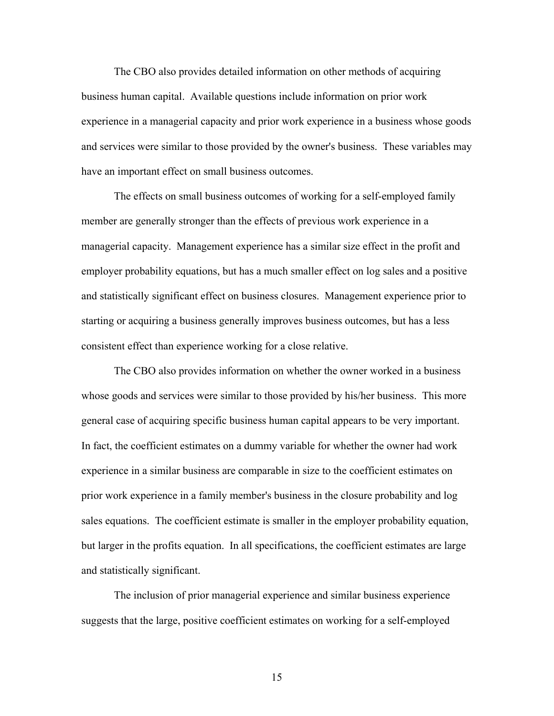The CBO also provides detailed information on other methods of acquiring business human capital. Available questions include information on prior work experience in a managerial capacity and prior work experience in a business whose goods and services were similar to those provided by the owner's business. These variables may have an important effect on small business outcomes.

 The effects on small business outcomes of working for a self-employed family member are generally stronger than the effects of previous work experience in a managerial capacity. Management experience has a similar size effect in the profit and employer probability equations, but has a much smaller effect on log sales and a positive and statistically significant effect on business closures. Management experience prior to starting or acquiring a business generally improves business outcomes, but has a less consistent effect than experience working for a close relative.

 The CBO also provides information on whether the owner worked in a business whose goods and services were similar to those provided by his/her business. This more general case of acquiring specific business human capital appears to be very important. In fact, the coefficient estimates on a dummy variable for whether the owner had work experience in a similar business are comparable in size to the coefficient estimates on prior work experience in a family member's business in the closure probability and log sales equations. The coefficient estimate is smaller in the employer probability equation, but larger in the profits equation. In all specifications, the coefficient estimates are large and statistically significant.

 The inclusion of prior managerial experience and similar business experience suggests that the large, positive coefficient estimates on working for a self-employed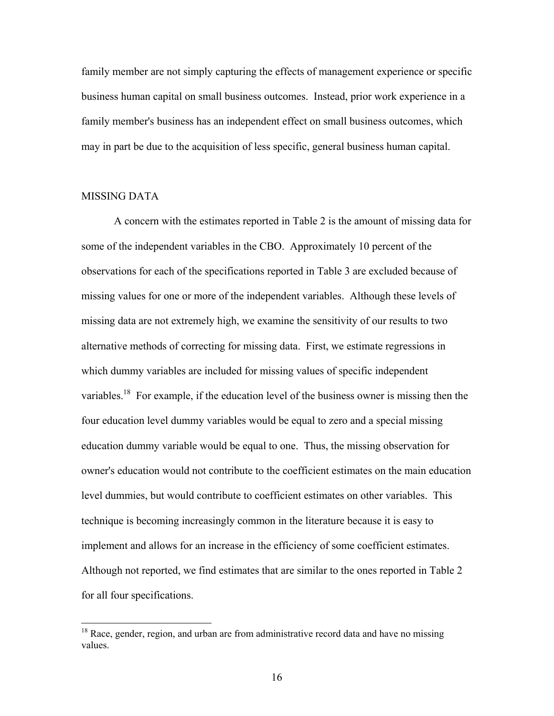family member are not simply capturing the effects of management experience or specific business human capital on small business outcomes. Instead, prior work experience in a family member's business has an independent effect on small business outcomes, which may in part be due to the acquisition of less specific, general business human capital.

#### MISSING DATA

 $\overline{a}$ 

A concern with the estimates reported in Table 2 is the amount of missing data for some of the independent variables in the CBO. Approximately 10 percent of the observations for each of the specifications reported in Table 3 are excluded because of missing values for one or more of the independent variables. Although these levels of missing data are not extremely high, we examine the sensitivity of our results to two alternative methods of correcting for missing data. First, we estimate regressions in which dummy variables are included for missing values of specific independent variables.<sup>18</sup> For example, if the education level of the business owner is missing then the four education level dummy variables would be equal to zero and a special missing education dummy variable would be equal to one. Thus, the missing observation for owner's education would not contribute to the coefficient estimates on the main education level dummies, but would contribute to coefficient estimates on other variables. This technique is becoming increasingly common in the literature because it is easy to implement and allows for an increase in the efficiency of some coefficient estimates. Although not reported, we find estimates that are similar to the ones reported in Table 2 for all four specifications.

 $18$  Race, gender, region, and urban are from administrative record data and have no missing values.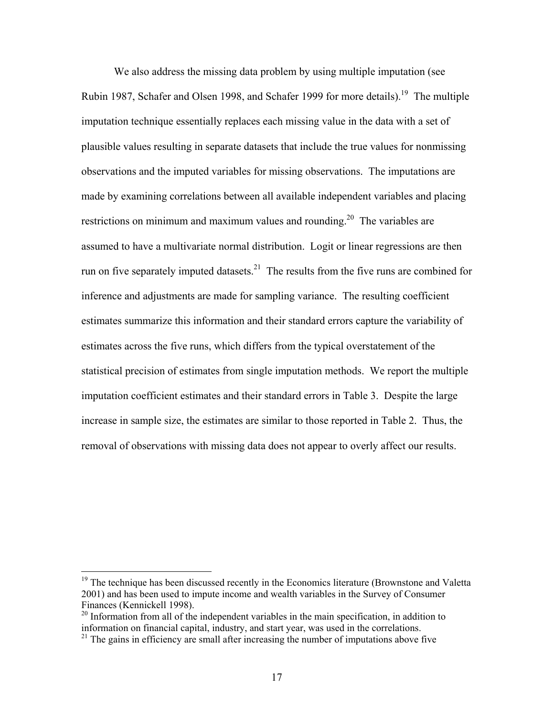We also address the missing data problem by using multiple imputation (see Rubin 1987, Schafer and Olsen 1998, and Schafer 1999 for more details).<sup>19</sup> The multiple imputation technique essentially replaces each missing value in the data with a set of plausible values resulting in separate datasets that include the true values for nonmissing observations and the imputed variables for missing observations. The imputations are made by examining correlations between all available independent variables and placing restrictions on minimum and maximum values and rounding.<sup>20</sup> The variables are assumed to have a multivariate normal distribution. Logit or linear regressions are then run on five separately imputed datasets.<sup>21</sup> The results from the five runs are combined for inference and adjustments are made for sampling variance. The resulting coefficient estimates summarize this information and their standard errors capture the variability of estimates across the five runs, which differs from the typical overstatement of the statistical precision of estimates from single imputation methods. We report the multiple imputation coefficient estimates and their standard errors in Table 3. Despite the large increase in sample size, the estimates are similar to those reported in Table 2. Thus, the removal of observations with missing data does not appear to overly affect our results.

<sup>&</sup>lt;sup>19</sup> The technique has been discussed recently in the Economics literature (Brownstone and Valetta 2001) and has been used to impute income and wealth variables in the Survey of Consumer Finances (Kennickell 1998).

 $20$  Information from all of the independent variables in the main specification, in addition to information on financial capital, industry, and start year, was used in the correlations.

 $21$ <sup>21</sup> The gains in efficiency are small after increasing the number of imputations above five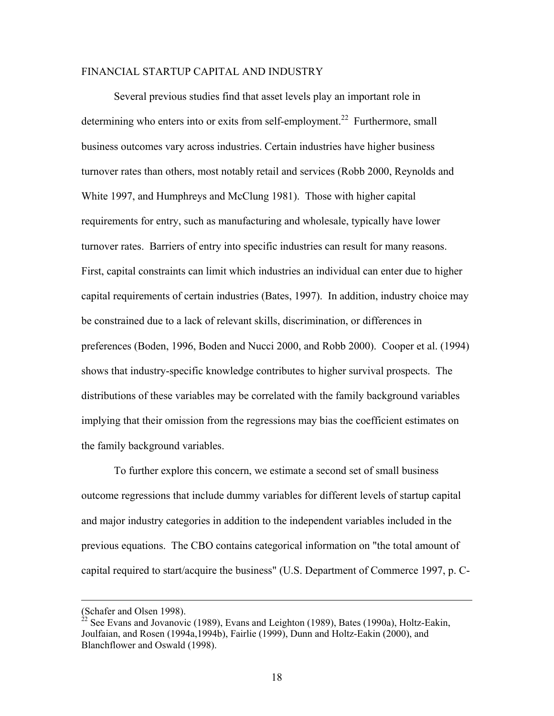### FINANCIAL STARTUP CAPITAL AND INDUSTRY

 Several previous studies find that asset levels play an important role in determining who enters into or exits from self-employment.<sup>22</sup> Furthermore, small business outcomes vary across industries. Certain industries have higher business turnover rates than others, most notably retail and services (Robb 2000, Reynolds and White 1997, and Humphreys and McClung 1981). Those with higher capital requirements for entry, such as manufacturing and wholesale, typically have lower turnover rates. Barriers of entry into specific industries can result for many reasons. First, capital constraints can limit which industries an individual can enter due to higher capital requirements of certain industries (Bates, 1997). In addition, industry choice may be constrained due to a lack of relevant skills, discrimination, or differences in preferences (Boden, 1996, Boden and Nucci 2000, and Robb 2000). Cooper et al. (1994) shows that industry-specific knowledge contributes to higher survival prospects. The distributions of these variables may be correlated with the family background variables implying that their omission from the regressions may bias the coefficient estimates on the family background variables.

 To further explore this concern, we estimate a second set of small business outcome regressions that include dummy variables for different levels of startup capital and major industry categories in addition to the independent variables included in the previous equations. The CBO contains categorical information on "the total amount of capital required to start/acquire the business" (U.S. Department of Commerce 1997, p. C-

<sup>(</sup>Schafer and Olsen 1998).

<sup>22</sup> See Evans and Jovanovic (1989), Evans and Leighton (1989), Bates (1990a), Holtz-Eakin, Joulfaian, and Rosen (1994a,1994b), Fairlie (1999), Dunn and Holtz-Eakin (2000), and Blanchflower and Oswald (1998).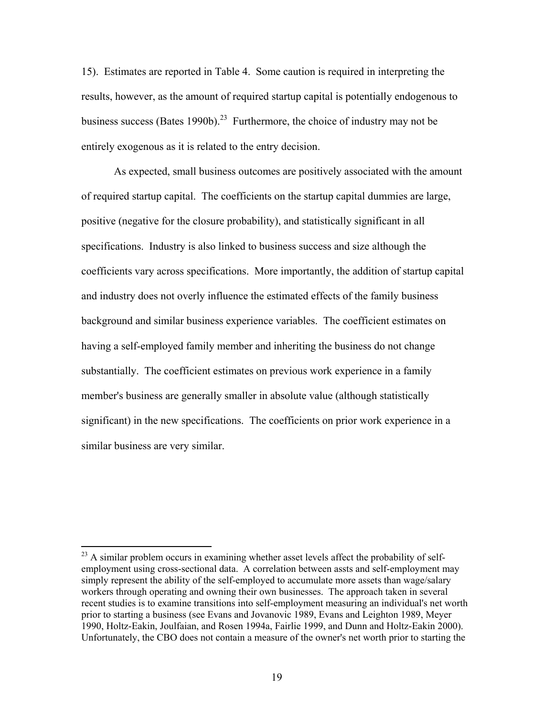15). Estimates are reported in Table 4. Some caution is required in interpreting the results, however, as the amount of required startup capital is potentially endogenous to business success (Bates 1990b).<sup>23</sup> Furthermore, the choice of industry may not be entirely exogenous as it is related to the entry decision.

 As expected, small business outcomes are positively associated with the amount of required startup capital. The coefficients on the startup capital dummies are large, positive (negative for the closure probability), and statistically significant in all specifications. Industry is also linked to business success and size although the coefficients vary across specifications. More importantly, the addition of startup capital and industry does not overly influence the estimated effects of the family business background and similar business experience variables. The coefficient estimates on having a self-employed family member and inheriting the business do not change substantially. The coefficient estimates on previous work experience in a family member's business are generally smaller in absolute value (although statistically significant) in the new specifications. The coefficients on prior work experience in a similar business are very similar.

 $^{23}$  A similar problem occurs in examining whether asset levels affect the probability of selfemployment using cross-sectional data. A correlation between assts and self-employment may simply represent the ability of the self-employed to accumulate more assets than wage/salary workers through operating and owning their own businesses. The approach taken in several recent studies is to examine transitions into self-employment measuring an individual's net worth prior to starting a business (see Evans and Jovanovic 1989, Evans and Leighton 1989, Meyer 1990, Holtz-Eakin, Joulfaian, and Rosen 1994a, Fairlie 1999, and Dunn and Holtz-Eakin 2000). Unfortunately, the CBO does not contain a measure of the owner's net worth prior to starting the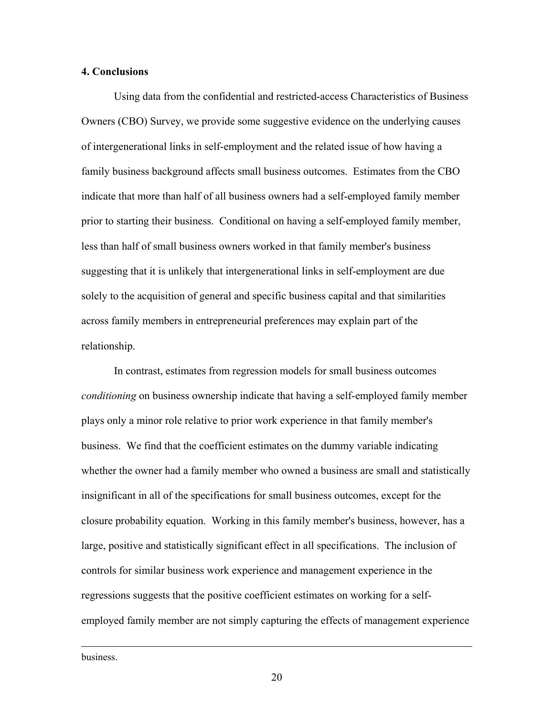#### **4. Conclusions**

Using data from the confidential and restricted-access Characteristics of Business Owners (CBO) Survey, we provide some suggestive evidence on the underlying causes of intergenerational links in self-employment and the related issue of how having a family business background affects small business outcomes. Estimates from the CBO indicate that more than half of all business owners had a self-employed family member prior to starting their business. Conditional on having a self-employed family member, less than half of small business owners worked in that family member's business suggesting that it is unlikely that intergenerational links in self-employment are due solely to the acquisition of general and specific business capital and that similarities across family members in entrepreneurial preferences may explain part of the relationship.

 In contrast, estimates from regression models for small business outcomes *conditioning* on business ownership indicate that having a self-employed family member plays only a minor role relative to prior work experience in that family member's business. We find that the coefficient estimates on the dummy variable indicating whether the owner had a family member who owned a business are small and statistically insignificant in all of the specifications for small business outcomes, except for the closure probability equation. Working in this family member's business, however, has a large, positive and statistically significant effect in all specifications. The inclusion of controls for similar business work experience and management experience in the regressions suggests that the positive coefficient estimates on working for a selfemployed family member are not simply capturing the effects of management experience

business.

1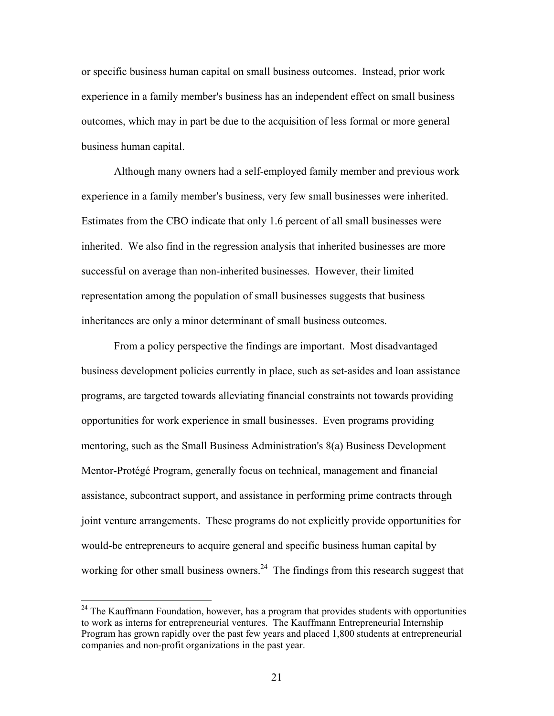or specific business human capital on small business outcomes. Instead, prior work experience in a family member's business has an independent effect on small business outcomes, which may in part be due to the acquisition of less formal or more general business human capital.

 Although many owners had a self-employed family member and previous work experience in a family member's business, very few small businesses were inherited. Estimates from the CBO indicate that only 1.6 percent of all small businesses were inherited. We also find in the regression analysis that inherited businesses are more successful on average than non-inherited businesses. However, their limited representation among the population of small businesses suggests that business inheritances are only a minor determinant of small business outcomes.

From a policy perspective the findings are important. Most disadvantaged business development policies currently in place, such as set-asides and loan assistance programs, are targeted towards alleviating financial constraints not towards providing opportunities for work experience in small businesses. Even programs providing mentoring, such as the Small Business Administration's 8(a) Business Development Mentor-Protégé Program, generally focus on technical, management and financial assistance, subcontract support, and assistance in performing prime contracts through joint venture arrangements. These programs do not explicitly provide opportunities for would-be entrepreneurs to acquire general and specific business human capital by working for other small business owners.<sup>24</sup> The findings from this research suggest that

 $24$  The Kauffmann Foundation, however, has a program that provides students with opportunities to work as interns for entrepreneurial ventures. The Kauffmann Entrepreneurial Internship Program has grown rapidly over the past few years and placed 1,800 students at entrepreneurial companies and non-profit organizations in the past year.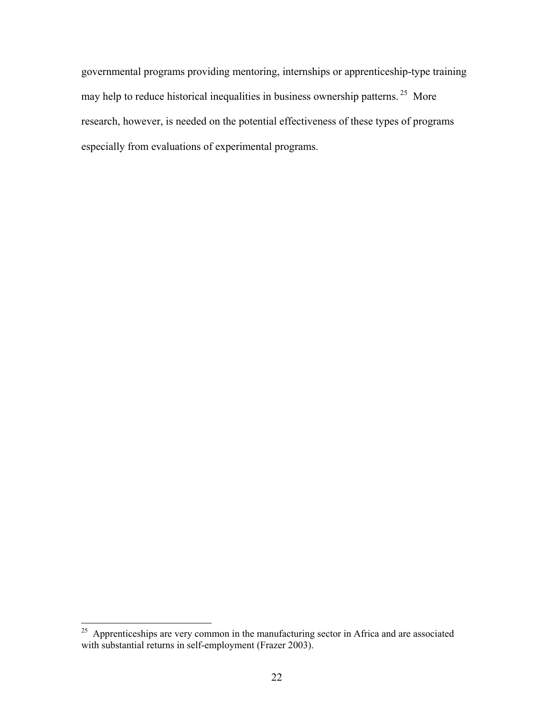governmental programs providing mentoring, internships or apprenticeship-type training may help to reduce historical inequalities in business ownership patterns.<sup>25</sup> More research, however, is needed on the potential effectiveness of these types of programs especially from evaluations of experimental programs.

 $25$  Apprenticeships are very common in the manufacturing sector in Africa and are associated with substantial returns in self-employment (Frazer 2003).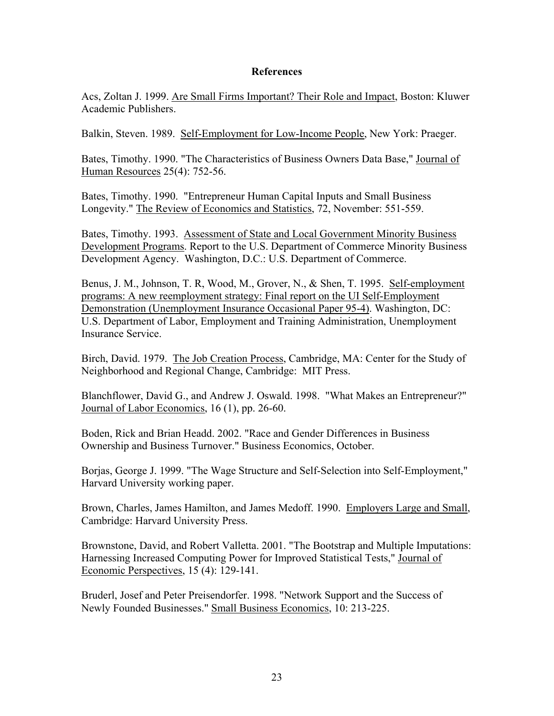#### **References**

Acs, Zoltan J. 1999. Are Small Firms Important? Their Role and Impact, Boston: Kluwer Academic Publishers.

Balkin, Steven. 1989. Self-Employment for Low-Income People, New York: Praeger.

Bates, Timothy. 1990. "The Characteristics of Business Owners Data Base," Journal of Human Resources 25(4): 752-56.

Bates, Timothy. 1990. "Entrepreneur Human Capital Inputs and Small Business Longevity." The Review of Economics and Statistics, 72, November: 551-559.

Bates, Timothy. 1993. Assessment of State and Local Government Minority Business Development Programs. Report to the U.S. Department of Commerce Minority Business Development Agency. Washington, D.C.: U.S. Department of Commerce.

Benus, J. M., Johnson, T. R, Wood, M., Grover, N., & Shen, T. 1995. Self-employment programs: A new reemployment strategy: Final report on the UI Self-Employment Demonstration (Unemployment Insurance Occasional Paper 95-4). Washington, DC: U.S. Department of Labor, Employment and Training Administration, Unemployment Insurance Service.

Birch, David. 1979. The Job Creation Process, Cambridge, MA: Center for the Study of Neighborhood and Regional Change, Cambridge: MIT Press.

Blanchflower, David G., and Andrew J. Oswald. 1998. "What Makes an Entrepreneur?" Journal of Labor Economics, 16 (1), pp. 26-60.

Boden, Rick and Brian Headd. 2002. "Race and Gender Differences in Business Ownership and Business Turnover." Business Economics, October.

Borjas, George J. 1999. "The Wage Structure and Self-Selection into Self-Employment," Harvard University working paper.

Brown, Charles, James Hamilton, and James Medoff. 1990. Employers Large and Small, Cambridge: Harvard University Press.

Brownstone, David, and Robert Valletta. 2001. "The Bootstrap and Multiple Imputations: Harnessing Increased Computing Power for Improved Statistical Tests," Journal of Economic Perspectives, 15 (4): 129-141.

Bruderl, Josef and Peter Preisendorfer. 1998. "Network Support and the Success of Newly Founded Businesses." Small Business Economics, 10: 213-225.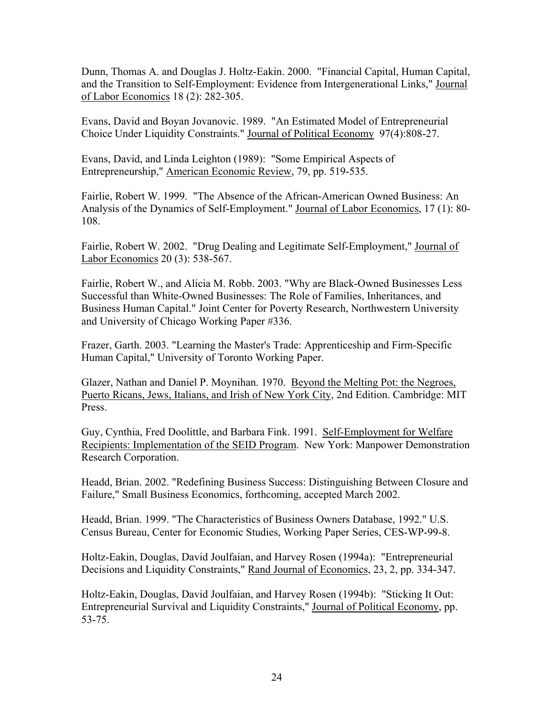Dunn, Thomas A. and Douglas J. Holtz-Eakin. 2000. "Financial Capital, Human Capital, and the Transition to Self-Employment: Evidence from Intergenerational Links," Journal of Labor Economics 18 (2): 282-305.

Evans, David and Boyan Jovanovic. 1989. "An Estimated Model of Entrepreneurial Choice Under Liquidity Constraints." Journal of Political Economy 97(4):808-27.

Evans, David, and Linda Leighton (1989): "Some Empirical Aspects of Entrepreneurship," American Economic Review, 79, pp. 519-535.

Fairlie, Robert W. 1999. "The Absence of the African-American Owned Business: An Analysis of the Dynamics of Self-Employment." Journal of Labor Economics, 17 (1): 80- 108.

Fairlie, Robert W. 2002. "Drug Dealing and Legitimate Self-Employment," Journal of Labor Economics 20 (3): 538-567.

Fairlie, Robert W., and Alicia M. Robb. 2003. "Why are Black-Owned Businesses Less Successful than White-Owned Businesses: The Role of Families, Inheritances, and Business Human Capital." Joint Center for Poverty Research, Northwestern University and University of Chicago Working Paper #336.

Frazer, Garth. 2003. "Learning the Master's Trade: Apprenticeship and Firm-Specific Human Capital," University of Toronto Working Paper.

Glazer, Nathan and Daniel P. Moynihan. 1970. Beyond the Melting Pot: the Negroes, Puerto Ricans, Jews, Italians, and Irish of New York City, 2nd Edition. Cambridge: MIT Press.

Guy, Cynthia, Fred Doolittle, and Barbara Fink. 1991. Self-Employment for Welfare Recipients: Implementation of the SEID Program. New York: Manpower Demonstration Research Corporation.

Headd, Brian. 2002. "Redefining Business Success: Distinguishing Between Closure and Failure," Small Business Economics, forthcoming, accepted March 2002.

Headd, Brian. 1999. "The Characteristics of Business Owners Database, 1992." U.S. Census Bureau, Center for Economic Studies, Working Paper Series, CES-WP-99-8.

Holtz-Eakin, Douglas, David Joulfaian, and Harvey Rosen (1994a): "Entrepreneurial Decisions and Liquidity Constraints," Rand Journal of Economics, 23, 2, pp. 334-347.

Holtz-Eakin, Douglas, David Joulfaian, and Harvey Rosen (1994b): "Sticking It Out: Entrepreneurial Survival and Liquidity Constraints," Journal of Political Economy, pp. 53-75.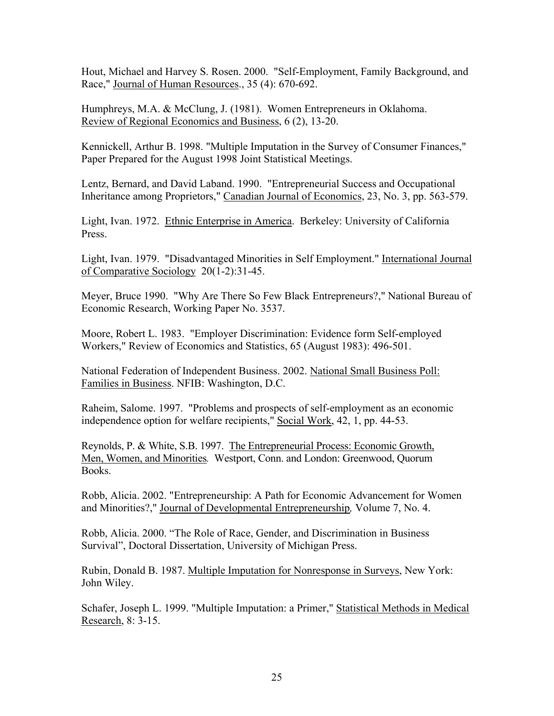Hout, Michael and Harvey S. Rosen. 2000. "Self-Employment, Family Background, and Race," Journal of Human Resources., 35 (4): 670-692.

Humphreys, M.A. & McClung, J. (1981). Women Entrepreneurs in Oklahoma. Review of Regional Economics and Business, 6 (2), 13-20.

Kennickell, Arthur B. 1998. "Multiple Imputation in the Survey of Consumer Finances," Paper Prepared for the August 1998 Joint Statistical Meetings.

Lentz, Bernard, and David Laband. 1990. "Entrepreneurial Success and Occupational Inheritance among Proprietors," Canadian Journal of Economics, 23, No. 3, pp. 563-579.

Light, Ivan. 1972. Ethnic Enterprise in America. Berkeley: University of California Press.

Light, Ivan. 1979. "Disadvantaged Minorities in Self Employment." International Journal of Comparative Sociology 20(1-2):31-45.

Meyer, Bruce 1990. "Why Are There So Few Black Entrepreneurs?," National Bureau of Economic Research, Working Paper No. 3537.

Moore, Robert L. 1983. "Employer Discrimination: Evidence form Self-employed Workers," Review of Economics and Statistics, 65 (August 1983): 496-501.

National Federation of Independent Business. 2002. National Small Business Poll: Families in Business. NFIB: Washington, D.C.

Raheim, Salome. 1997. "Problems and prospects of self-employment as an economic independence option for welfare recipients," Social Work, 42, 1, pp. 44-53.

Reynolds, P. & White, S.B. 1997. The Entrepreneurial Process: Economic Growth, Men, Women, and Minorities*.* Westport, Conn. and London: Greenwood, Quorum Books.

Robb, Alicia. 2002. "Entrepreneurship: A Path for Economic Advancement for Women and Minorities?," Journal of Developmental Entrepreneurship*,* Volume 7, No. 4.

Robb, Alicia. 2000. "The Role of Race, Gender, and Discrimination in Business Survival", Doctoral Dissertation, University of Michigan Press.

Rubin, Donald B. 1987. Multiple Imputation for Nonresponse in Surveys, New York: John Wiley.

Schafer, Joseph L. 1999. "Multiple Imputation: a Primer," Statistical Methods in Medical Research, 8: 3-15.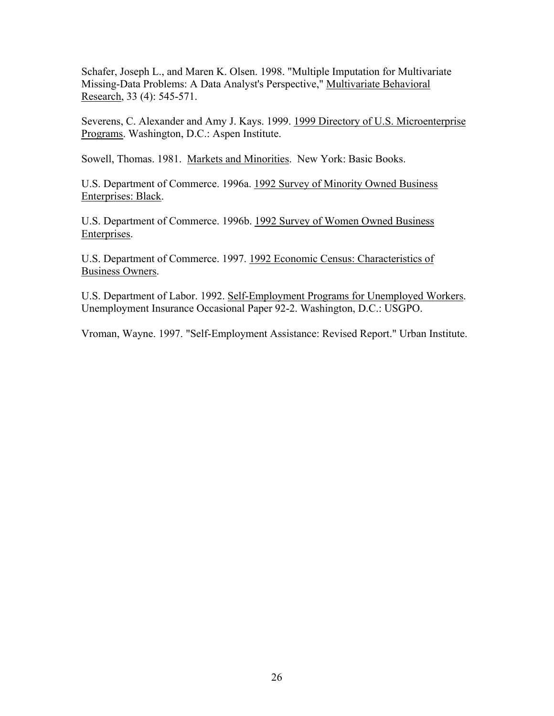Schafer, Joseph L., and Maren K. Olsen. 1998. "Multiple Imputation for Multivariate Missing-Data Problems: A Data Analyst's Perspective," Multivariate Behavioral Research, 33 (4): 545-571.

Severens, C. Alexander and Amy J. Kays. 1999. 1999 Directory of U.S. Microenterprise Programs. Washington, D.C.: Aspen Institute.

Sowell, Thomas. 1981. Markets and Minorities. New York: Basic Books.

U.S. Department of Commerce. 1996a. 1992 Survey of Minority Owned Business Enterprises: Black.

U.S. Department of Commerce. 1996b. 1992 Survey of Women Owned Business Enterprises.

U.S. Department of Commerce. 1997. 1992 Economic Census: Characteristics of Business Owners.

U.S. Department of Labor. 1992. Self-Employment Programs for Unemployed Workers. Unemployment Insurance Occasional Paper 92-2. Washington, D.C.: USGPO.

Vroman, Wayne. 1997. "Self-Employment Assistance: Revised Report." Urban Institute.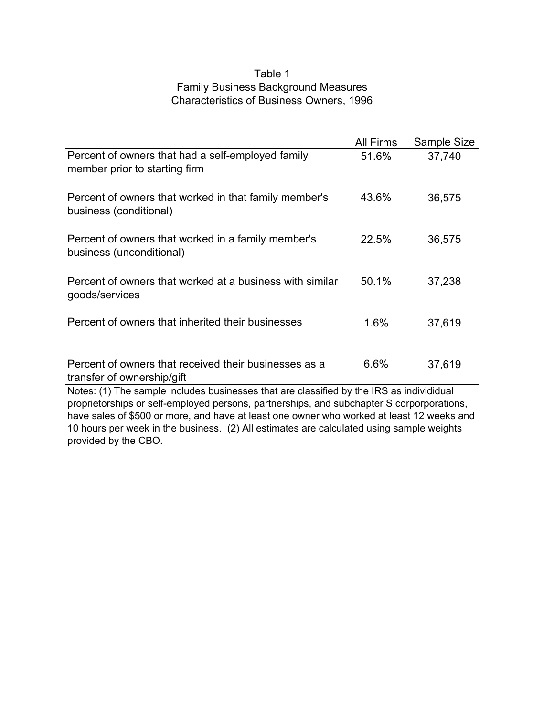## Table 1 Family Business Background Measures Characteristics of Business Owners, 1996

|                                                                                          | All Firms | Sample Size |  |
|------------------------------------------------------------------------------------------|-----------|-------------|--|
| Percent of owners that had a self-employed family<br>member prior to starting firm       | 51.6%     | 37,740      |  |
| Percent of owners that worked in that family member's<br>business (conditional)          | 43.6%     | 36,575      |  |
| Percent of owners that worked in a family member's<br>business (unconditional)           | 22.5%     | 36,575      |  |
| Percent of owners that worked at a business with similar<br>goods/services               | 50.1%     | 37,238      |  |
| Percent of owners that inherited their businesses                                        | $1.6\%$   | 37,619      |  |
| Percent of owners that received their businesses as a<br>transfer of ownership/gift      | 6.6%      | 37,619      |  |
| Notes: (1) The sample includes businesses that are classified by the IRS as individidual |           |             |  |

proprietorships or self-employed persons, partnerships, and subchapter S corporporations, have sales of \$500 or more, and have at least one owner who worked at least 12 weeks and 10 hours per week in the business. (2) All estimates are calculated using sample weights provided by the CBO.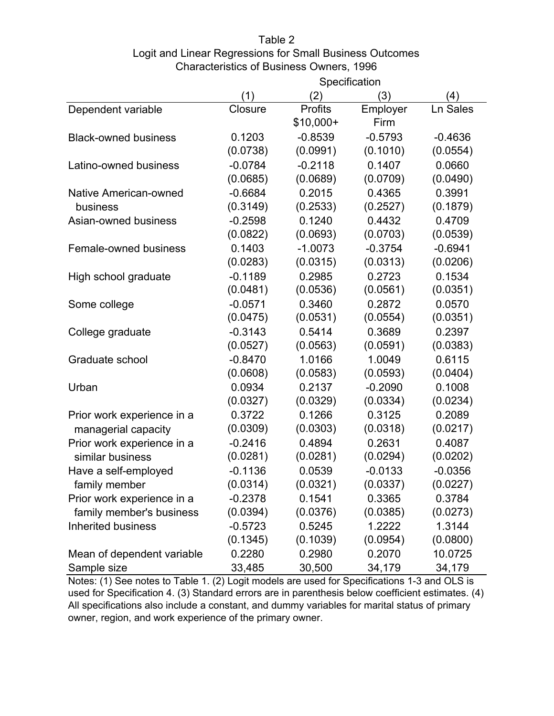# Table 2

## Logit and Linear Regressions for Small Business Outcomes Characteristics of Business Owners, 1996

|                             | Specification |                |           |           |
|-----------------------------|---------------|----------------|-----------|-----------|
|                             | (1)           | (2)            | (3)       | (4)       |
| Dependent variable          | Closure       | <b>Profits</b> | Employer  | Ln Sales  |
|                             |               | $$10,000+$     | Firm      |           |
| <b>Black-owned business</b> | 0.1203        | $-0.8539$      | $-0.5793$ | $-0.4636$ |
|                             | (0.0738)      | (0.0991)       | (0.1010)  | (0.0554)  |
| Latino-owned business       | $-0.0784$     | $-0.2118$      | 0.1407    | 0.0660    |
|                             | (0.0685)      | (0.0689)       | (0.0709)  | (0.0490)  |
| Native American-owned       | $-0.6684$     | 0.2015         | 0.4365    | 0.3991    |
| business                    | (0.3149)      | (0.2533)       | (0.2527)  | (0.1879)  |
| Asian-owned business        | $-0.2598$     | 0.1240         | 0.4432    | 0.4709    |
|                             | (0.0822)      | (0.0693)       | (0.0703)  | (0.0539)  |
| Female-owned business       | 0.1403        | $-1.0073$      | $-0.3754$ | $-0.6941$ |
|                             | (0.0283)      | (0.0315)       | (0.0313)  | (0.0206)  |
| High school graduate        | $-0.1189$     | 0.2985         | 0.2723    | 0.1534    |
|                             | (0.0481)      | (0.0536)       | (0.0561)  | (0.0351)  |
| Some college                | $-0.0571$     | 0.3460         | 0.2872    | 0.0570    |
|                             | (0.0475)      | (0.0531)       | (0.0554)  | (0.0351)  |
| College graduate            | $-0.3143$     | 0.5414         | 0.3689    | 0.2397    |
|                             | (0.0527)      | (0.0563)       | (0.0591)  | (0.0383)  |
| Graduate school             | $-0.8470$     | 1.0166         | 1.0049    | 0.6115    |
|                             | (0.0608)      | (0.0583)       | (0.0593)  | (0.0404)  |
| Urban                       | 0.0934        | 0.2137         | $-0.2090$ | 0.1008    |
|                             | (0.0327)      | (0.0329)       | (0.0334)  | (0.0234)  |
| Prior work experience in a  | 0.3722        | 0.1266         | 0.3125    | 0.2089    |
| managerial capacity         | (0.0309)      | (0.0303)       | (0.0318)  | (0.0217)  |
| Prior work experience in a  | $-0.2416$     | 0.4894         | 0.2631    | 0.4087    |
| similar business            | (0.0281)      | (0.0281)       | (0.0294)  | (0.0202)  |
| Have a self-employed        | $-0.1136$     | 0.0539         | $-0.0133$ | $-0.0356$ |
| family member               | (0.0314)      | (0.0321)       | (0.0337)  | (0.0227)  |
| Prior work experience in a  | $-0.2378$     | 0.1541         | 0.3365    | 0.3784    |
| family member's business    | (0.0394)      | (0.0376)       | (0.0385)  | (0.0273)  |
| <b>Inherited business</b>   | $-0.5723$     | 0.5245         | 1.2222    | 1.3144    |
|                             | (0.1345)      | (0.1039)       | (0.0954)  | (0.0800)  |
| Mean of dependent variable  | 0.2280        | 0.2980         | 0.2070    | 10.0725   |
| Sample size                 | 33,485        | 30,500         | 34,179    | 34,179    |

Notes: (1) See notes to Table 1. (2) Logit models are used for Specifications 1-3 and OLS is used for Specification 4. (3) Standard errors are in parenthesis below coefficient estimates. (4) All specifications also include a constant, and dummy variables for marital status of primary owner, region, and work experience of the primary owner.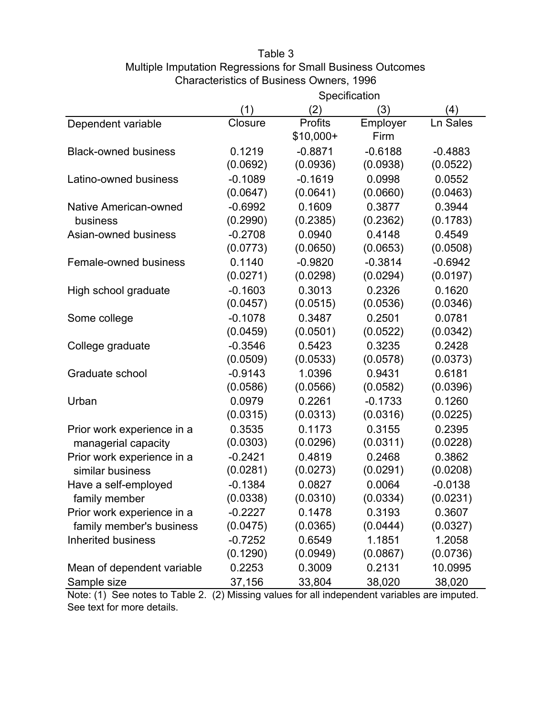# Table 3 Multiple Imputation Regressions for Small Business Outcomes Characteristics of Business Owners, 1996

|                              | Specification |            |           |           |
|------------------------------|---------------|------------|-----------|-----------|
|                              | (1)           | (2)        | (3)       | (4)       |
| Dependent variable           | Closure       | Profits    | Employer  | Ln Sales  |
|                              |               | $$10,000+$ | Firm      |           |
| <b>Black-owned business</b>  | 0.1219        | $-0.8871$  | $-0.6188$ | $-0.4883$ |
|                              | (0.0692)      | (0.0936)   | (0.0938)  | (0.0522)  |
| Latino-owned business        | $-0.1089$     | $-0.1619$  | 0.0998    | 0.0552    |
|                              | (0.0647)      | (0.0641)   | (0.0660)  | (0.0463)  |
| <b>Native American-owned</b> | $-0.6992$     | 0.1609     | 0.3877    | 0.3944    |
| business                     | (0.2990)      | (0.2385)   | (0.2362)  | (0.1783)  |
| Asian-owned business         | $-0.2708$     | 0.0940     | 0.4148    | 0.4549    |
|                              | (0.0773)      | (0.0650)   | (0.0653)  | (0.0508)  |
| Female-owned business        | 0.1140        | $-0.9820$  | $-0.3814$ | $-0.6942$ |
|                              | (0.0271)      | (0.0298)   | (0.0294)  | (0.0197)  |
| High school graduate         | $-0.1603$     | 0.3013     | 0.2326    | 0.1620    |
|                              | (0.0457)      | (0.0515)   | (0.0536)  | (0.0346)  |
| Some college                 | $-0.1078$     | 0.3487     | 0.2501    | 0.0781    |
|                              | (0.0459)      | (0.0501)   | (0.0522)  | (0.0342)  |
| College graduate             | $-0.3546$     | 0.5423     | 0.3235    | 0.2428    |
|                              | (0.0509)      | (0.0533)   | (0.0578)  | (0.0373)  |
| Graduate school              | $-0.9143$     | 1.0396     | 0.9431    | 0.6181    |
|                              | (0.0586)      | (0.0566)   | (0.0582)  | (0.0396)  |
| Urban                        | 0.0979        | 0.2261     | $-0.1733$ | 0.1260    |
|                              | (0.0315)      | (0.0313)   | (0.0316)  | (0.0225)  |
| Prior work experience in a   | 0.3535        | 0.1173     | 0.3155    | 0.2395    |
| managerial capacity          | (0.0303)      | (0.0296)   | (0.0311)  | (0.0228)  |
| Prior work experience in a   | $-0.2421$     | 0.4819     | 0.2468    | 0.3862    |
| similar business             | (0.0281)      | (0.0273)   | (0.0291)  | (0.0208)  |
| Have a self-employed         | $-0.1384$     | 0.0827     | 0.0064    | $-0.0138$ |
| family member                | (0.0338)      | (0.0310)   | (0.0334)  | (0.0231)  |
| Prior work experience in a   | $-0.2227$     | 0.1478     | 0.3193    | 0.3607    |
| family member's business     | (0.0475)      | (0.0365)   | (0.0444)  | (0.0327)  |
| <b>Inherited business</b>    | $-0.7252$     | 0.6549     | 1.1851    | 1.2058    |
|                              | (0.1290)      | (0.0949)   | (0.0867)  | (0.0736)  |
| Mean of dependent variable   | 0.2253        | 0.3009     | 0.2131    | 10.0995   |
| Sample size                  | 37,156        | 33,804     | 38,020    | 38,020    |

Note: (1) See notes to Table 2. (2) Missing values for all independent variables are imputed. See text for more details.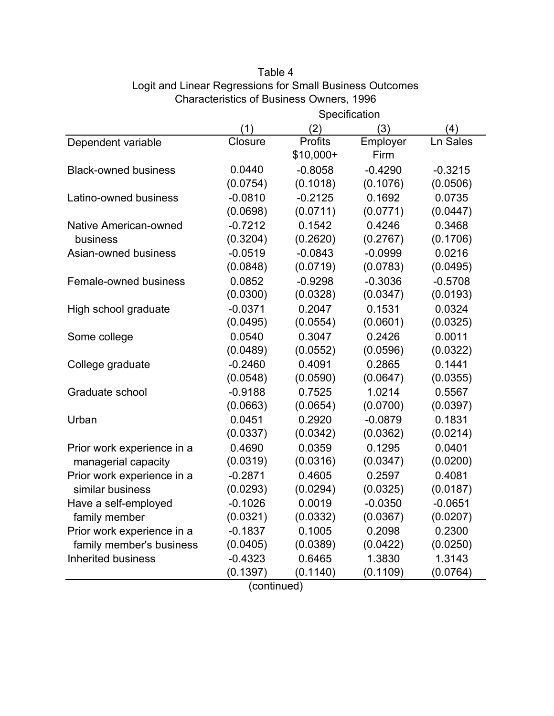|                              | <b>Specification</b> |                |           |           |
|------------------------------|----------------------|----------------|-----------|-----------|
|                              | (1)                  | (2)            | (3)       | (4)       |
| Dependent variable           | Closure              | <b>Profits</b> | Employer  | Ln Sales  |
|                              |                      | $$10,000+$     | Firm      |           |
| <b>Black-owned business</b>  | 0.0440               | $-0.8058$      | $-0.4290$ | $-0.3215$ |
|                              | (0.0754)             | (0.1018)       | (0.1076)  | (0.0506)  |
| Latino-owned business        | $-0.0810$            | $-0.2125$      | 0.1692    | 0.0735    |
|                              | (0.0698)             | (0.0711)       | (0.0771)  | (0.0447)  |
| <b>Native American-owned</b> | $-0.7212$            | 0.1542         | 0.4246    | 0.3468    |
| business                     | (0.3204)             | (0.2620)       | (0.2767)  | (0.1706)  |
| Asian-owned business         | $-0.0519$            | $-0.0843$      | $-0.0999$ | 0.0216    |
|                              | (0.0848)             | (0.0719)       | (0.0783)  | (0.0495)  |
| Female-owned business        | 0.0852               | $-0.9298$      | $-0.3036$ | $-0.5708$ |
|                              | (0.0300)             | (0.0328)       | (0.0347)  | (0.0193)  |
| High school graduate         | $-0.0371$            | 0.2047         | 0.1531    | 0.0324    |
|                              | (0.0495)             | (0.0554)       | (0.0601)  | (0.0325)  |
| Some college                 | 0.0540               | 0.3047         | 0.2426    | 0.0011    |
|                              | (0.0489)             | (0.0552)       | (0.0596)  | (0.0322)  |
| College graduate             | $-0.2460$            | 0.4091         | 0.2865    | 0.1441    |
|                              | (0.0548)             | (0.0590)       | (0.0647)  | (0.0355)  |
| Graduate school              | $-0.9188$            | 0.7525         | 1.0214    | 0.5567    |
|                              | (0.0663)             | (0.0654)       | (0.0700)  | (0.0397)  |
| Urban                        | 0.0451               | 0.2920         | $-0.0879$ | 0.1831    |
|                              | (0.0337)             | (0.0342)       | (0.0362)  | (0.0214)  |
| Prior work experience in a   | 0.4690               | 0.0359         | 0.1295    | 0.0401    |
| managerial capacity          | (0.0319)             | (0.0316)       | (0.0347)  | (0.0200)  |
| Prior work experience in a   | $-0.2871$            | 0.4605         | 0.2597    | 0.4081    |
| similar business             | (0.0293)             | (0.0294)       | (0.0325)  | (0.0187)  |
| Have a self-employed         | $-0.1026$            | 0.0019         | $-0.0350$ | $-0.0651$ |
| family member                | (0.0321)             | (0.0332)       | (0.0367)  | (0.0207)  |
| Prior work experience in a   | $-0.1837$            | 0.1005         | 0.2098    | 0.2300    |
| family member's business     | (0.0405)             | (0.0389)       | (0.0422)  | (0.0250)  |
| <b>Inherited business</b>    | $-0.4323$            | 0.6465         | 1.3830    | 1.3143    |
|                              | (0.1397)             | (0.1140)       | (0.1109)  | (0.0764)  |

## Table 4 Logit and Linear Regressions for Small Business Outcomes Characteristics of Business Owners, 1996 **Specification**

(continued)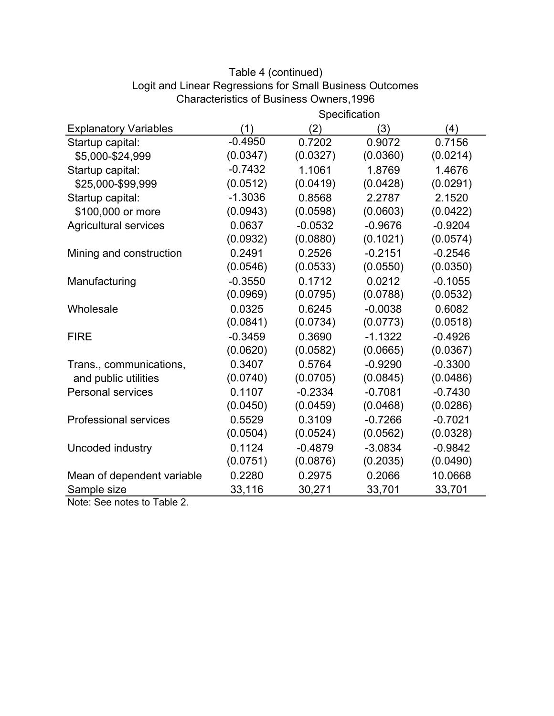|                                      | Specification |           |           |           |
|--------------------------------------|---------------|-----------|-----------|-----------|
| <b>Explanatory Variables</b>         | (1)           | (2)       | (3)       | (4)       |
| Startup capital:                     | $-0.4950$     | 0.7202    | 0.9072    | 0.7156    |
| \$5,000-\$24,999                     | (0.0347)      | (0.0327)  | (0.0360)  | (0.0214)  |
| Startup capital:                     | $-0.7432$     | 1.1061    | 1.8769    | 1.4676    |
| \$25,000-\$99,999                    | (0.0512)      | (0.0419)  | (0.0428)  | (0.0291)  |
| Startup capital:                     | $-1.3036$     | 0.8568    | 2.2787    | 2.1520    |
| \$100,000 or more                    | (0.0943)      | (0.0598)  | (0.0603)  | (0.0422)  |
| <b>Agricultural services</b>         | 0.0637        | $-0.0532$ | $-0.9676$ | $-0.9204$ |
|                                      | (0.0932)      | (0.0880)  | (0.1021)  | (0.0574)  |
| Mining and construction              | 0.2491        | 0.2526    | $-0.2151$ | $-0.2546$ |
|                                      | (0.0546)      | (0.0533)  | (0.0550)  | (0.0350)  |
| Manufacturing                        | $-0.3550$     | 0.1712    | 0.0212    | $-0.1055$ |
|                                      | (0.0969)      | (0.0795)  | (0.0788)  | (0.0532)  |
| Wholesale                            | 0.0325        | 0.6245    | $-0.0038$ | 0.6082    |
|                                      | (0.0841)      | (0.0734)  | (0.0773)  | (0.0518)  |
| <b>FIRE</b>                          | $-0.3459$     | 0.3690    | $-1.1322$ | $-0.4926$ |
|                                      | (0.0620)      | (0.0582)  | (0.0665)  | (0.0367)  |
| Trans., communications,              | 0.3407        | 0.5764    | $-0.9290$ | $-0.3300$ |
| and public utilities                 | (0.0740)      | (0.0705)  | (0.0845)  | (0.0486)  |
| <b>Personal services</b>             | 0.1107        | $-0.2334$ | $-0.7081$ | $-0.7430$ |
|                                      | (0.0450)      | (0.0459)  | (0.0468)  | (0.0286)  |
| <b>Professional services</b>         | 0.5529        | 0.3109    | $-0.7266$ | $-0.7021$ |
|                                      | (0.0504)      | (0.0524)  | (0.0562)  | (0.0328)  |
| Uncoded industry                     | 0.1124        | $-0.4879$ | $-3.0834$ | $-0.9842$ |
|                                      | (0.0751)      | (0.0876)  | (0.2035)  | (0.0490)  |
| Mean of dependent variable           | 0.2280        | 0.2975    | 0.2066    | 10.0668   |
| Sample size<br><b>TALL</b><br>$\sim$ | 33,116        | 30,271    | 33,701    | 33,701    |

# Table 4 (continued) Logit and Linear Regressions for Small Business Outcomes Characteristics of Business Owners,1996

Note: See notes to Table 2.